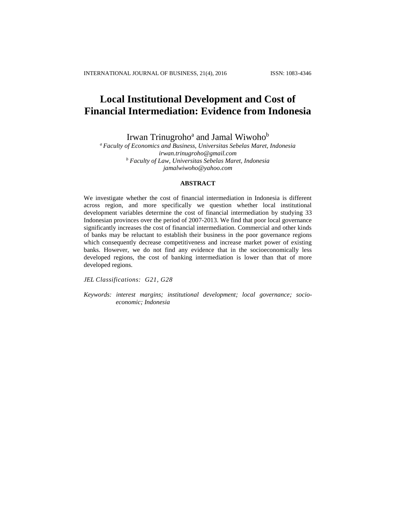# **Local Institutional Development and Cost of Financial Intermediation: Evidence from Indonesia**

Irwan Trinugroho<sup>a</sup> and Jamal Wiwoho<sup>b</sup>

*<sup>a</sup> Faculty of Economics and Business, Universitas Sebelas Maret, Indonesia irwan.trinugroho@gmail.com <sup>b</sup> Faculty of Law, Universitas Sebelas Maret, Indonesia jamalwiwoho@yahoo.com*

## **ABSTRACT**

We investigate whether the cost of financial intermediation in Indonesia is different across region, and more specifically we question whether local institutional development variables determine the cost of financial intermediation by studying 33 Indonesian provinces over the period of 2007-2013. We find that poor local governance significantly increases the cost of financial intermediation. Commercial and other kinds of banks may be reluctant to establish their business in the poor governance regions which consequently decrease competitiveness and increase market power of existing banks. However, we do not find any evidence that in the socioeconomically less developed regions, the cost of banking intermediation is lower than that of more developed regions.

*JEL Classifications: G21, G28* 

*Keywords: interest margins; institutional development; local governance; socioeconomic; Indonesia*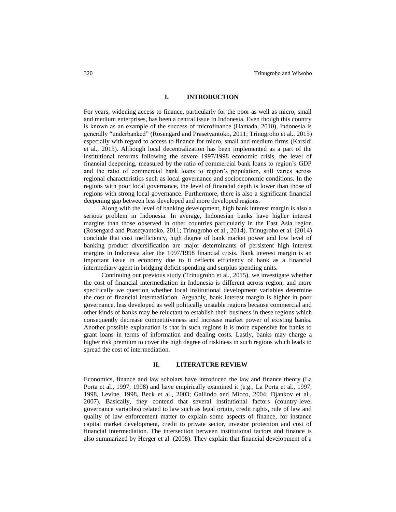# **I. INTRODUCTION**

For years, widening access to finance, particularly for the poor as well as micro, small and medium enterprises, has been a central issue in Indonesia. Even though this country is known as an example of the success of microfinance (Hamada, 2010), Indonesia is generally "underbanked" (Rosengard and Prasetyantoko, 2011; Trinugroho et al., 2015) especially with regard to access to finance for micro, small and medium firms (Karsidi et al., 2015). Although local decentralization has been implemented as a part of the institutional reforms following the severe 1997/1998 economic crisis, the level of financial deepening, measured by the ratio of commercial bank loans to region's GDP and the ratio of commercial bank loans to region's population, still varies across regional characteristics such as local governance and socioeconomic conditions. In the regions with poor local governance, the level of financial depth is lower than those of regions with strong local governance. Furthermore, there is also a significant financial deepening gap between less developed and more developed regions.

Along with the level of banking development, high bank interest margin is also a serious problem in Indonesia. In average, Indonesian banks have higher interest margins than those observed in other countries particularly in the East Asia region (Rosengard and Prasetyantoko, 2011; Trinugroho et al., 2014). Trinugroho et al. (2014) conclude that cost inefficiency, high degree of bank market power and low level of banking product diversification are major determinants of persistent high interest margins in Indonesia after the 1997/1998 financial crisis. Bank interest margin is an important issue in economy due to it reflects efficiency of bank as a financial intermediary agent in bridging deficit spending and surplus spending units.

Continuing our previous study (Trinugroho et al., 2015), we investigate whether the cost of financial intermediation in Indonesia is different across region, and more specifically we question whether local institutional development variables determine the cost of financial intermediation. Arguably, bank interest margin is higher in poor governance, less developed as well politically unstable regions because commercial and other kinds of banks may be reluctant to establish their business in these regions which consequently decrease competitiveness and increase market power of existing banks. Another possible explanation is that in such regions it is more expensive for banks to grant loans in terms of information and dealing costs. Lastly, banks may charge a higher risk premium to cover the high degree of riskiness in such regions which leads to spread the cost of intermediation.

### **II. LITERATURE REVIEW**

Economics, finance and law scholars have introduced the law and finance theory (La Porta et al., 1997, 1998) and have empirically examined it (e.g., La Porta et al., 1997, 1998, Levine, 1998, Beck et al., 2003; Gallindo and Micco, 2004; Djankov et al., 2007). Basically, they contend that several institutional factors (country-level governance variables) related to law such as legal origin, credit rights, rule of law and quality of law enforcement matter to explain some aspects of finance, for instance capital market development, credit to private sector, investor protection and cost of financial intermediation. The intersection between institutional factors and finance is also summarized by Herger et al. (2008). They explain that financial development of a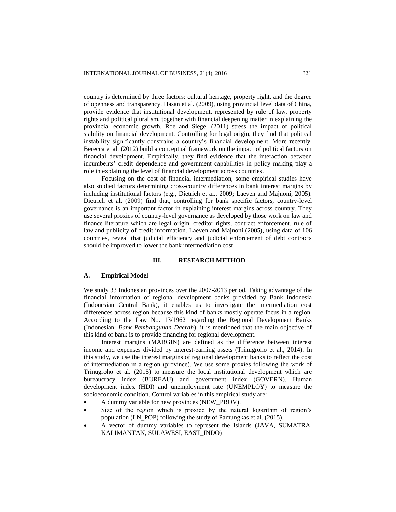country is determined by three factors: cultural heritage, property right, and the degree of openness and transparency. Hasan et al. (2009), using provincial level data of China, provide evidence that institutional development, represented by rule of law, property rights and political pluralism, together with financial deepening matter in explaining the provincial economic growth. Roe and Siegel (2011) stress the impact of political stability on financial development. Controlling for legal origin, they find that political instability significantly constrains a country's financial development. More recently, Berecca et al. (2012) build a conceptual framework on the impact of political factors on financial development. Empirically, they find evidence that the interaction between incumbents' credit dependence and government capabilities in policy making play a role in explaining the level of financial development across countries.

Focusing on the cost of financial intermediation, some empirical studies have also studied factors determining cross-country differences in bank interest margins by including institutional factors (e.g., Dietrich et al., 2009; Laeven and Majnoni, 2005). Dietrich et al. (2009) find that, controlling for bank specific factors, country-level governance is an important factor in explaining interest margins across country. They use several proxies of country-level governance as developed by those work on law and finance literature which are legal origin, creditor rights, contract enforcement, rule of law and publicity of credit information. Laeven and Majnoni (2005), using data of 106 countries, reveal that judicial efficiency and judicial enforcement of debt contracts should be improved to lower the bank intermediation cost.

#### **III. RESEARCH METHOD**

### **A. Empirical Model**

We study 33 Indonesian provinces over the 2007-2013 period. Taking advantage of the financial information of regional development banks provided by Bank Indonesia (Indonesian Central Bank), it enables us to investigate the intermediation cost differences across region because this kind of banks mostly operate focus in a region. According to the Law No. 13/1962 regarding the Regional Development Banks (Indonesian: *Bank Pembangunan Daerah*), it is mentioned that the main objective of this kind of bank is to provide financing for regional development.

Interest margins (MARGIN) are defined as the difference between interest income and expenses divided by interest-earning assets (Trinugroho et al., 2014). In this study, we use the interest margins of regional development banks to reflect the cost of intermediation in a region (province). We use some proxies following the work of Trinugroho et al. (2015) to measure the local institutional development which are bureaucracy index (BUREAU) and government index (GOVERN). Human development index (HDI) and unemployment rate (UNEMPLOY) to measure the socioeconomic condition. Control variables in this empirical study are:

- A dummy variable for new provinces (NEW\_PROV).
- Size of the region which is proxied by the natural logarithm of region's population (LN\_POP) following the study of Pamungkas et al. (2015).
- A vector of dummy variables to represent the Islands (JAVA, SUMATRA, KALIMANTAN, SULAWESI, EAST\_INDO)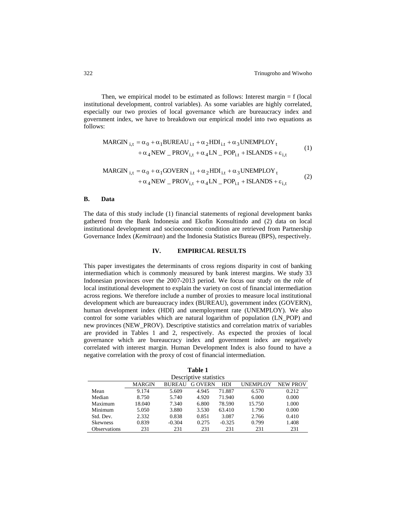Then, we empirical model to be estimated as follows: Interest margin = f (local institutional development, control variables). As some variables are highly correlated, especially our two proxies of local governance which are bureaucracy index and government index, we have to breakdown our empirical model into two equations as follows:

MARGIN 
$$
_{i,t} = \alpha_0 + \alpha_1 BUREAU_{i,t} + \alpha_2 HDI_{i,t} + \alpha_3 UNEMPLOY_t
$$
  
+  $\alpha_4 NEW \_ PROV_{i,t} + \alpha_4 LN \_ POP_{i,t} + ISLANDS + \varepsilon_{i,t}$  (1)

$$
\begin{aligned} \text{MARGIN}_{i,t} &= \alpha_0 + \alpha_1 \text{GOVERN}_{i,t} + \alpha_2 \text{HDI}_{i,t} + \alpha_3 \text{UNEMPLOY}_t \\ &+ \alpha_4 \text{NEW} - \text{PROV}_{i,t} + \alpha_4 \text{LN} - \text{POP}_{i,t} + \text{ISLANDS} + \varepsilon_{i,t} \end{aligned} \tag{2}
$$

# **B. Data**

The data of this study include (1) financial statements of regional development banks gathered from the Bank Indonesia and Ekofin Konsultindo and (2) data on local institutional development and socioeconomic condition are retrieved from Partnership Governance Index (*Kemitraan*) and the Indonesia Statistics Bureau (BPS), respectively.

## **IV. EMPIRICAL RESULTS**

This paper investigates the determinants of cross regions disparity in cost of banking intermediation which is commonly measured by bank interest margins. We study 33 Indonesian provinces over the 2007-2013 period. We focus our study on the role of local institutional development to explain the variety on cost of financial intermediation across regions. We therefore include a number of proxies to measure local institutional development which are bureaucracy index (BUREAU), government index (GOVERN), human development index (HDI) and unemployment rate (UNEMPLOY). We also control for some variables which are natural logarithm of population (LN\_POP) and new provinces (NEW\_PROV). Descriptive statistics and correlation matrix of variables are provided in Tables 1 and 2, respectively. As expected the proxies of local governance which are bureaucracy index and government index are negatively correlated with interest margin. Human Development Index is also found to have a negative correlation with the proxy of cost of financial intermediation.

| Descriptive statistics |               |               |               |          |                 |                 |
|------------------------|---------------|---------------|---------------|----------|-----------------|-----------------|
|                        | <b>MARGIN</b> | <b>BUREAU</b> | <b>GOVERN</b> | HDI      | <b>UNEMPLOY</b> | <b>NEW PROV</b> |
| Mean                   | 9.174         | 5.609         | 4.945         | 71.887   | 6.570           | 0.212           |
| Median                 | 8.750         | 5.740         | 4.920         | 71.940   | 6.000           | 0.000           |
| Maximum                | 18.040        | 7.340         | 6.800         | 78.590   | 15.750          | 1.000           |
| Minimum                | 5.050         | 3.880         | 3.530         | 63.410   | 1.790           | 0.000           |
| Std. Dev.              | 2.332         | 0.838         | 0.851         | 3.087    | 2.766           | 0.410           |
| <b>Skewness</b>        | 0.839         | $-0.304$      | 0.275         | $-0.325$ | 0.799           | 1.408           |
| <b>Observations</b>    | 231           | 231           | 231           | 231      | 231             | 231             |

**Table 1**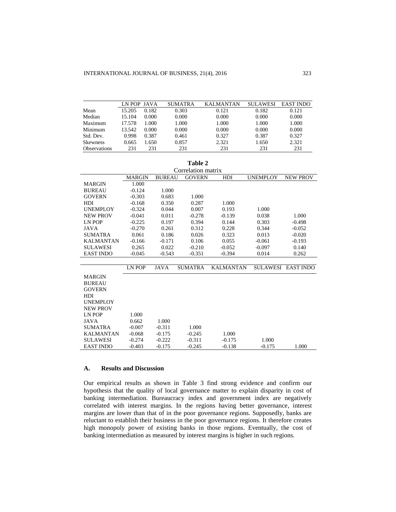|                     | LN POP JAVA |       | <b>SUMATRA</b> | <b>KALMANTAN</b> | <b>SULAWESI</b> | <b>EAST INDO</b> |
|---------------------|-------------|-------|----------------|------------------|-----------------|------------------|
| Mean                | 15.205      | 0.182 | 0.303          | 0.121            | 0.182           | 0.121            |
| Median              | 15.104      | 0.000 | 0.000          | 0.000            | 0.000           | 0.000            |
| Maximum             | 17.578      | 1.000 | 1.000          | 1.000            | 1.000           | 1.000            |
| Minimum             | 13.542      | 0.000 | 0.000          | 0.000            | 0.000           | 0.000            |
| Std. Dev.           | 0.998       | 0.387 | 0.461          | 0.327            | 0.387           | 0.327            |
| Skewness            | 0.665       | 1.650 | 0.857          | 2.321            | 1.650           | 2.321            |
| <b>Observations</b> | 231         | 231   | 231            | 231              | 231             | 231              |

**Table 2**

| Correlation matrix |               |               |                |                  |                 |                  |
|--------------------|---------------|---------------|----------------|------------------|-----------------|------------------|
|                    | <b>MARGIN</b> | <b>BUREAU</b> | <b>GOVERN</b>  | HDI              | <b>UNEMPLOY</b> | <b>NEW PROV</b>  |
| <b>MARGIN</b>      | 1.000         |               |                |                  |                 |                  |
| <b>BUREAU</b>      | $-0.124$      | 1.000         |                |                  |                 |                  |
| <b>GOVERN</b>      | $-0.303$      | 0.683         | 1.000          |                  |                 |                  |
| <b>HDI</b>         | $-0.168$      | 0.350         | 0.287          | 1.000            |                 |                  |
| <b>UNEMPLOY</b>    | $-0.324$      | 0.044         | 0.007          | 0.193            | 1.000           |                  |
| <b>NEW PROV</b>    | $-0.041$      | 0.011         | $-0.278$       | $-0.139$         | 0.038           | 1.000            |
| LN POP             | $-0.225$      | 0.197         | 0.394          | 0.144            | 0.303           | $-0.498$         |
| JAVA               | $-0.270$      | 0.261         | 0.312          | 0.228            | 0.344           | $-0.052$         |
| <b>SUMATRA</b>     | 0.061         | 0.186         | 0.026          | 0.323            | 0.013           | $-0.020$         |
| <b>KALMANTAN</b>   | $-0.166$      | $-0.171$      | 0.106          | 0.055            | $-0.061$        | $-0.193$         |
| <b>SULAWESI</b>    | 0.265         | 0.022         | $-0.210$       | $-0.052$         | $-0.097$        | 0.140            |
| <b>EAST INDO</b>   | $-0.045$      | $-0.543$      | $-0.351$       | $-0.394$         | 0.014           | 0.262            |
|                    |               |               |                |                  |                 |                  |
|                    | <b>LN POP</b> | <b>JAVA</b>   | <b>SUMATRA</b> | <b>KALMANTAN</b> | <b>SULAWESI</b> | <b>EAST INDO</b> |
| <b>MARGIN</b>      |               |               |                |                  |                 |                  |
| <b>BUREAU</b>      |               |               |                |                  |                 |                  |
| <b>GOVERN</b>      |               |               |                |                  |                 |                  |
| <b>HDI</b>         |               |               |                |                  |                 |                  |
| <b>UNEMPLOY</b>    |               |               |                |                  |                 |                  |
| <b>NEW PROV</b>    |               |               |                |                  |                 |                  |
| LN POP             | 1.000         |               |                |                  |                 |                  |
| <b>JAVA</b>        | 0.662         | 1.000         |                |                  |                 |                  |
| <b>SUMATRA</b>     | $-0.007$      | $-0.311$      | 1.000          |                  |                 |                  |
| <b>KALMANTAN</b>   | $-0.068$      | $-0.175$      | $-0.245$       | 1.000            |                 |                  |
| <b>SULAWESI</b>    | $-0.274$      | $-0.222$      | $-0.311$       | $-0.175$         | 1.000           |                  |
| <b>EAST INDO</b>   | $-0.403$      | $-0.175$      | $-0.245$       | $-0.138$         | $-0.175$        | 1.000            |

#### **A. Results and Discussion**

Our empirical results as shown in Table 3 find strong evidence and confirm our hypothesis that the quality of local governance matter to explain disparity in cost of banking intermediation. Bureaucracy index and government index are negatively correlated with interest margins. In the regions having better governance, interest margins are lower than that of in the poor governance regions. Supposedly, banks are reluctant to establish their business in the poor governance regions. It therefore creates high monopoly power of existing banks in those regions. Eventually, the cost of banking intermediation as measured by interest margins is higher in such regions.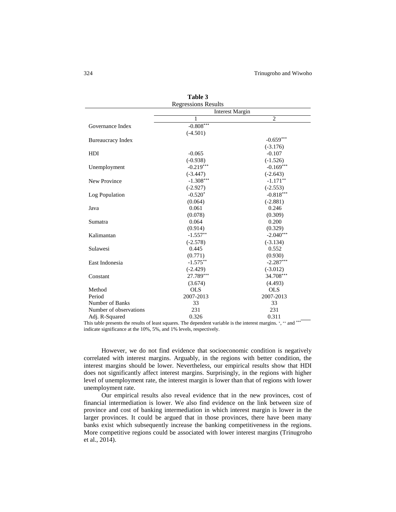|                          | Table 3                    |                |  |  |
|--------------------------|----------------------------|----------------|--|--|
|                          | <b>Regressions Results</b> |                |  |  |
|                          | <b>Interest Margin</b>     |                |  |  |
|                          | 1                          | $\overline{c}$ |  |  |
| Governance Index         | $-0.808***$                |                |  |  |
|                          | $(-4.501)$                 |                |  |  |
| <b>Bureaucracy Index</b> |                            | $-0.659***$    |  |  |
|                          |                            | $(-3.176)$     |  |  |
| HDI                      | $-0.065$                   | $-0.107$       |  |  |
|                          | $(-0.938)$                 | $(-1.526)$     |  |  |
| Unemployment             | $-0.219***$                | $-0.169***$    |  |  |
|                          | $(-3.447)$                 | $(-2.643)$     |  |  |
| New Province             | $-1.308***$                | $-1.171$ **    |  |  |
|                          | $(-2.927)$                 | $(-2.553)$     |  |  |
| Log Population           | $-0.520*$                  | $-0.818***$    |  |  |
|                          | (0.064)                    | $(-2.881)$     |  |  |
| Java                     | 0.061                      | 0.246          |  |  |
|                          | (0.078)                    | (0.309)        |  |  |
| Sumatra                  | 0.064                      | 0.200          |  |  |
|                          | (0.914)                    | (0.329)        |  |  |
| Kalimantan               | $-1.557**$                 | $-2.040***$    |  |  |
|                          | $(-2.578)$                 | $(-3.134)$     |  |  |
| Sulawesi                 | 0.445                      | 0.552          |  |  |
|                          | (0.771)                    | (0.930)        |  |  |
| East Indonesia           | $-1.575**$                 | $-2.287***$    |  |  |
|                          | $(-2.429)$                 | $(-3.012)$     |  |  |
| Constant                 | 27.789***                  | 34.708***      |  |  |
|                          | (3.674)                    | (4.493)        |  |  |
| Method                   | <b>OLS</b>                 | <b>OLS</b>     |  |  |
| Period                   | 2007-2013                  | 2007-2013      |  |  |
| Number of Banks          | 33                         | 33             |  |  |
| Number of observations   | 231                        | 231            |  |  |
| Adj. R-Squared           | 0.326                      | 0.311          |  |  |

This table presents the results of least squares. The dependent variable is the interest margins. \*, \*\* and \*\*\* indicate significance at the 10%, 5%, and 1% levels, respectively.

However, we do not find evidence that socioeconomic condition is negatively correlated with interest margins. Arguably, in the regions with better condition, the interest margins should be lower. Nevertheless, our empirical results show that HDI does not significantly affect interest margins. Surprisingly, in the regions with higher level of unemployment rate, the interest margin is lower than that of regions with lower unemployment rate.

Our empirical results also reveal evidence that in the new provinces, cost of financial intermediation is lower. We also find evidence on the link between size of province and cost of banking intermediation in which interest margin is lower in the larger provinces. It could be argued that in those provinces, there have been many banks exist which subsequently increase the banking competitiveness in the regions. More competitive regions could be associated with lower interest margins (Trinugroho et al., 2014).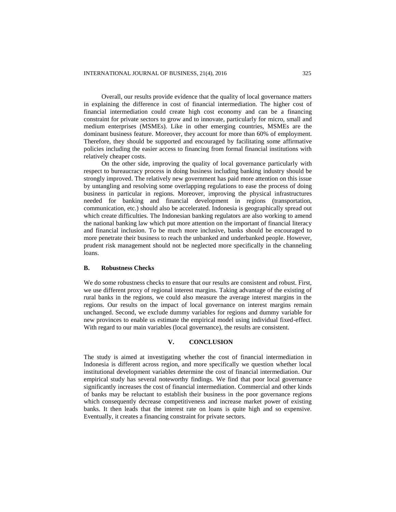Overall, our results provide evidence that the quality of local governance matters in explaining the difference in cost of financial intermediation. The higher cost of financial intermediation could create high cost economy and can be a financing constraint for private sectors to grow and to innovate, particularly for micro, small and medium enterprises (MSMEs). Like in other emerging countries, MSMEs are the dominant business feature. Moreover, they account for more than 60% of employment. Therefore, they should be supported and encouraged by facilitating some affirmative policies including the easier access to financing from formal financial institutions with relatively cheaper costs.

On the other side, improving the quality of local governance particularly with respect to bureaucracy process in doing business including banking industry should be strongly improved. The relatively new government has paid more attention on this issue by untangling and resolving some overlapping regulations to ease the process of doing business in particular in regions. Moreover, improving the physical infrastructures needed for banking and financial development in regions (transportation, communication, etc.) should also be accelerated. Indonesia is geographically spread out which create difficulties. The Indonesian banking regulators are also working to amend the national banking law which put more attention on the important of financial literacy and financial inclusion. To be much more inclusive, banks should be encouraged to more penetrate their business to reach the unbanked and underbanked people. However, prudent risk management should not be neglected more specifically in the channeling loans.

#### **B. Robustness Checks**

We do some robustness checks to ensure that our results are consistent and robust. First, we use different proxy of regional interest margins. Taking advantage of the existing of rural banks in the regions, we could also measure the average interest margins in the regions. Our results on the impact of local governance on interest margins remain unchanged. Second, we exclude dummy variables for regions and dummy variable for new provinces to enable us estimate the empirical model using individual fixed-effect. With regard to our main variables (local governance), the results are consistent.

# **V. CONCLUSION**

The study is aimed at investigating whether the cost of financial intermediation in Indonesia is different across region, and more specifically we question whether local institutional development variables determine the cost of financial intermediation. Our empirical study has several noteworthy findings. We find that poor local governance significantly increases the cost of financial intermediation. Commercial and other kinds of banks may be reluctant to establish their business in the poor governance regions which consequently decrease competitiveness and increase market power of existing banks. It then leads that the interest rate on loans is quite high and so expensive. Eventually, it creates a financing constraint for private sectors.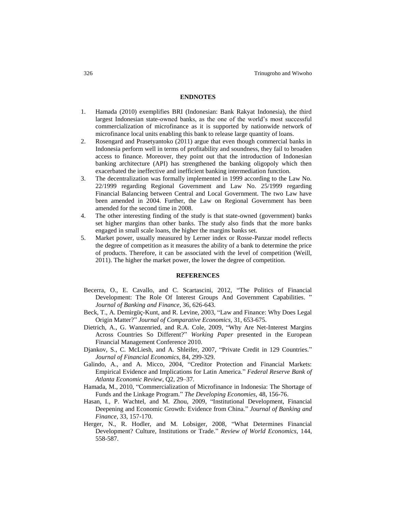### **ENDNOTES**

- 1. Hamada (2010) exemplifies BRI (Indonesian: Bank Rakyat Indonesia), the third largest Indonesian state-owned banks, as the one of the world's most successful commercialization of microfinance as it is supported by nationwide network of microfinance local units enabling this bank to release large quantity of loans.
- 2. Rosengard and Prasetyantoko (2011) argue that even though commercial banks in Indonesia perform well in terms of profitability and soundness, they fail to broaden access to finance. Moreover, they point out that the introduction of Indonesian banking architecture (API) has strengthened the banking oligopoly which then exacerbated the ineffective and inefficient banking intermediation function.
- 3. The decentralization was formally implemented in 1999 according to the Law No. 22/1999 regarding Regional Government and Law No. 25/1999 regarding Financial Balancing between Central and Local Government. The two Law have been amended in 2004. Further, the Law on Regional Government has been amended for the second time in 2008.
- 4. The other interesting finding of the study is that state-owned (government) banks set higher margins than other banks. The study also finds that the more banks engaged in small scale loans, the higher the margins banks set.
- 5. Market power, usually measured by Lerner index or Rosse-Panzar model reflects the degree of competition as it measures the ability of a bank to determine the price of products. Therefore, it can be associated with the level of competition (Weill, 2011). The higher the market power, the lower the degree of competition.

#### **REFERENCES**

- Becerra, O., E. Cavallo, and C. Scartascini, 2012, "The Politics of Financial Development: The Role Of Interest Groups And Government Capabilities. " *Journal of Banking and Finance,* 36, 626-643.
- Beck, T., A. Demirgüç-Kunt, and R. Levine, 2003, "Law and Finance: Why Does Legal Origin Matter?" *Journal of Comparative Economics,* 31, 653-675.
- Dietrich, A., G. Wanzenried, and R.A. Cole, 2009, "Why Are Net-Interest Margins Across Countries So Different?" *Working Paper* presented in the European Financial Management Conference 2010.
- Djankov, S., C. McLiesh, and A. Shleifer, 2007, "Private Credit in 129 Countries." *Journal of Financial Economics,* 84, 299-329.
- Galindo, A., and A. Micco, 2004, "Creditor Protection and Financial Markets: Empirical Evidence and Implications for Latin America." *Federal Reserve Bank of Atlanta Economic Review*, Q2, 29–37.
- Hamada, M., 2010, "Commercialization of Microfinance in Indonesia: The Shortage of Funds and the Linkage Program." *The Developing Economies,* 48, 156-76.
- Hasan, I., P. Wachtel, and M. Zhou, 2009, "Institutional Development, Financial Deepening and Economic Growth: Evidence from China." *Journal of Banking and Finance,* 33, 157-170.
- Herger, N., R. Hodler, and M. Lobsiger, 2008, "What Determines Financial Development? Culture, Institutions or Trade." *Review of World Economics,* 144, 558-587.